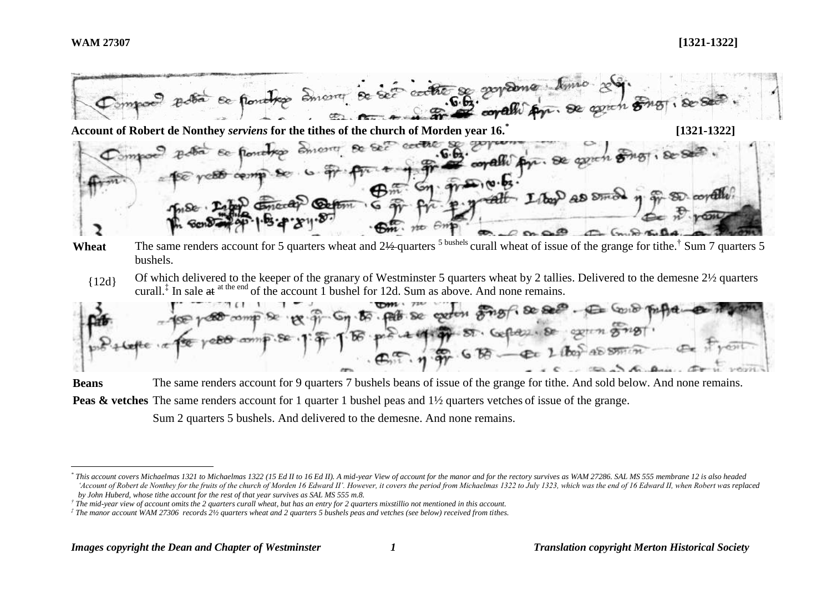<u>.</u>



bushels.

{12d} Of which delivered to the keeper of the granary of Westminster 5 quarters wheat by 2 tallies. Delivered to the demesne 2½ quarters curall.<sup> $\ddagger$ </sup> In sale at <sup>at the end</sup> of the account 1 bushel for 12d. Sum as above. And none remains.



**Beans** The same renders account for 9 quarters 7 bushels beans of issue of the grange for tithe. And sold below. And none remains. **Peas & vetches** The same renders account for 1 quarter 1 bushel peas and  $1\frac{1}{2}$  quarters vetches of issue of the grange.

Sum 2 quarters 5 bushels. And delivered to the demesne. And none remains.

 $^*$  This account covers Michaelmas 1321 to Michaelmas 1322 (15 Ed II to 16 Ed II). A mid-year View of account for the manor and for the rectory survives as WAM 27286. SAL MS 555 membrane 12 is also headed *'Account of Robert de Nonthey for the fruits of the church of Morden 16 Edward II'. However, it covers the period from Michaelmas 1322 to July 1323, which was the end of 16 Edward II, when Robert was replaced by John Huberd, whose tithe account for the rest of that year survives as SAL MS 555 m.8.*

*<sup>†</sup> The mid-year view of account omits the 2 quarters curall wheat, but has an entry for 2 quarters mixstillio not mentioned in this account.*

*<sup>‡</sup> The manor account WAM 27306 records 2½ quarters wheat and 2 quarters 5 bushels peas and vetches (see below) received from tithes.*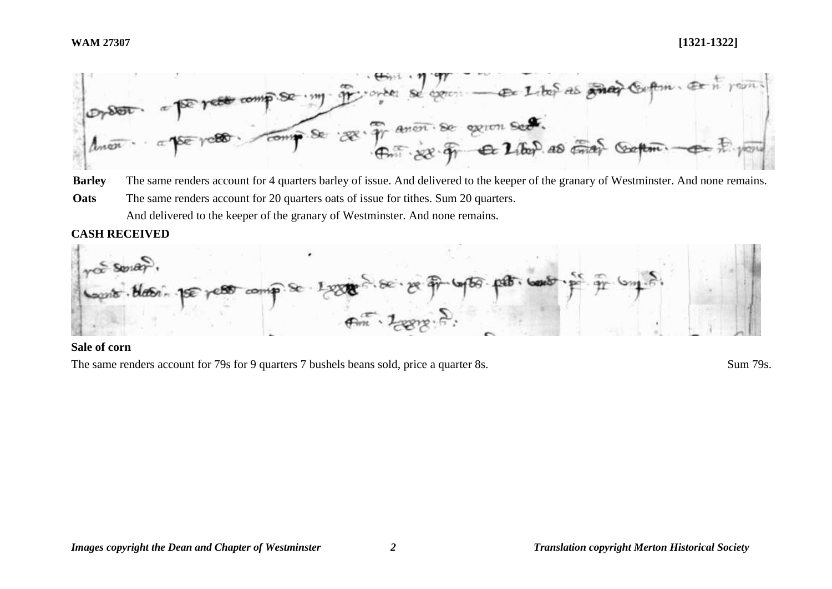

**Barley** The same renders account for 4 quarters barley of issue. And delivered to the keeper of the granary of Westminster. And none remains. **Oats** The same renders account for 20 quarters oats of issue for tithes. Sum 20 quarters. And delivered to the keeper of the granary of Westminster. And none remains.

# **CASH RECEIVED**



# **Sale of corn**

The same renders account for 79s for 9 quarters 7 bushels beans sold, price a quarter 8s. Sum 79s.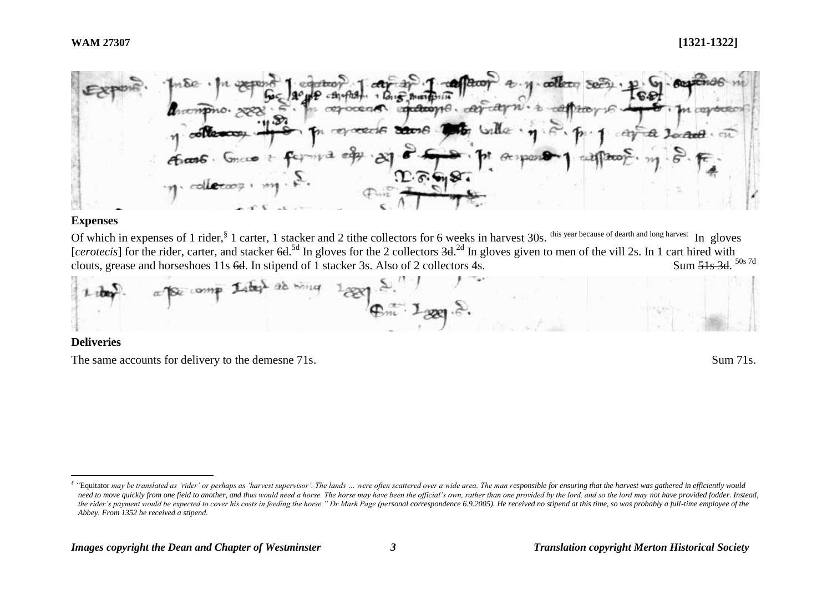

### **Expenses**

Of which in expenses of 1 rider, <sup>§</sup> 1 carter, 1 stacker and 2 tithe collectors for 6 weeks in harvest 30s. <sup>this year because of dearth and long harvest</sup> In gloves [*cerotecis*] for the rider, carter, and stacker 6d.<sup>5d</sup> In gloves for the 2 collectors 3d.<sup>2d</sup> In gloves given to men of the vill 2s. In 1 cart hired with clouts, grease and horseshoes 11s  $6d$ . In stipend of 1 stacker 3s. Also of 2 collectors 4s. Sum 51s 3d. 50s 7d



## **Deliveries**

1

The same accounts for delivery to the demesne 71s. Sum 71s.

Equitator may be translated as 'rider' or perhaps as 'harvest supervisor'. The lands ... were often scattered over a wide area. The man responsible for ensuring that the harvest was gathered in efficiently would need to move quickly from one field to another, and thus would need a horse. The horse may have been the official's own, rather than one provided by the lord, and so the lord may not have provided fodder. Instead, *the rider's payment would be expected to cover his costs in feeding the horse." Dr Mark Page (personal correspondence 6.9.2005). He received no stipend at this time, so was probably a full-time employee of the Abbey. From 1352 he received a stipend.*